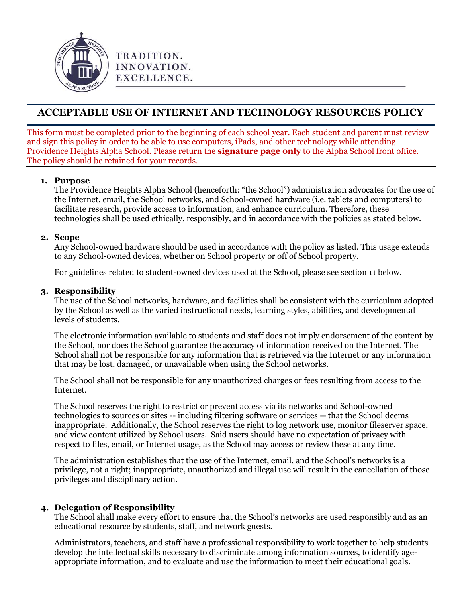

# **ACCEPTABLE USE OF INTERNET AND TECHNOLOGY RESOURCES POLICY**

This form must be completed prior to the beginning of each school year. Each student and parent must review and sign this policy in order to be able to use computers, iPads, and other technology while attending Providence Heights Alpha School. Please return the **signature page only** to the Alpha School front office. The policy should be retained for your records.

#### **1. Purpose**

The Providence Heights Alpha School (henceforth: "the School") administration advocates for the use of the Internet, email, the School networks, and School-owned hardware (i.e. tablets and computers) to facilitate research, provide access to information, and enhance curriculum. Therefore, these technologies shall be used ethically, responsibly, and in accordance with the policies as stated below.

#### **2. Scope**

Any School-owned hardware should be used in accordance with the policy as listed. This usage extends to any School-owned devices, whether on School property or off of School property.

For guidelines related to student-owned devices used at the School, please see section 11 below.

#### **3. Responsibility**

The use of the School networks, hardware, and facilities shall be consistent with the curriculum adopted by the School as well as the varied instructional needs, learning styles, abilities, and developmental levels of students.

The electronic information available to students and staff does not imply endorsement of the content by the School, nor does the School guarantee the accuracy of information received on the Internet. The School shall not be responsible for any information that is retrieved via the Internet or any information that may be lost, damaged, or unavailable when using the School networks.

The School shall not be responsible for any unauthorized charges or fees resulting from access to the Internet.

The School reserves the right to restrict or prevent access via its networks and School-owned technologies to sources or sites -- including filtering software or services -- that the School deems inappropriate. Additionally, the School reserves the right to log network use, monitor fileserver space, and view content utilized by School users. Said users should have no expectation of privacy with respect to files, email, or Internet usage, as the School may access or review these at any time.

The administration establishes that the use of the Internet, email, and the School's networks is a privilege, not a right; inappropriate, unauthorized and illegal use will result in the cancellation of those privileges and disciplinary action.

# **4. Delegation of Responsibility**

The School shall make every effort to ensure that the School's networks are used responsibly and as an educational resource by students, staff, and network guests.

Administrators, teachers, and staff have a professional responsibility to work together to help students develop the intellectual skills necessary to discriminate among information sources, to identify ageappropriate information, and to evaluate and use the information to meet their educational goals.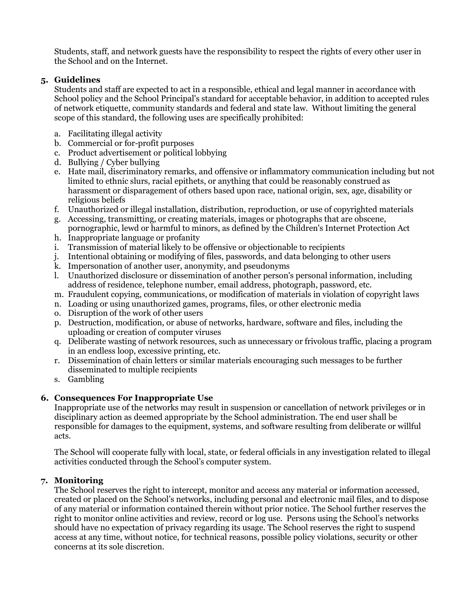Students, staff, and network guests have the responsibility to respect the rights of every other user in the School and on the Internet.

#### **5. Guidelines**

Students and staff are expected to act in a responsible, ethical and legal manner in accordance with School policy and the School Principal's standard for acceptable behavior, in addition to accepted rules of network etiquette, community standards and federal and state law. Without limiting the general scope of this standard, the following uses are specifically prohibited:

- a. Facilitating illegal activity
- b. Commercial or for-profit purposes
- c. Product advertisement or political lobbying
- d. Bullying / Cyber bullying
- e. Hate mail, discriminatory remarks, and offensive or inflammatory communication including but not limited to ethnic slurs, racial epithets, or anything that could be reasonably construed as harassment or disparagement of others based upon race, national origin, sex, age, disability or religious beliefs
- f. Unauthorized or illegal installation, distribution, reproduction, or use of copyrighted materials
- g. Accessing, transmitting, or creating materials, images or photographs that are obscene,
- pornographic, lewd or harmful to minors, as defined by the Children's Internet Protection Act h. Inappropriate language or profanity
- i. Transmission of material likely to be offensive or objectionable to recipients
- j. Intentional obtaining or modifying of files, passwords, and data belonging to other users
- k. Impersonation of another user, anonymity, and pseudonyms
- l. Unauthorized disclosure or dissemination of another person's personal information, including address of residence, telephone number, email address, photograph, password, etc.
- m. Fraudulent copying, communications, or modification of materials in violation of copyright laws
- n. Loading or using unauthorized games, programs, files, or other electronic media
- o. Disruption of the work of other users
- p. Destruction, modification, or abuse of networks, hardware, software and files, including the uploading or creation of computer viruses
- q. Deliberate wasting of network resources, such as unnecessary or frivolous traffic, placing a program in an endless loop, excessive printing, etc.
- r. Dissemination of chain letters or similar materials encouraging such messages to be further disseminated to multiple recipients
- s. Gambling

# **6. Consequences For Inappropriate Use**

Inappropriate use of the networks may result in suspension or cancellation of network privileges or in disciplinary action as deemed appropriate by the School administration. The end user shall be responsible for damages to the equipment, systems, and software resulting from deliberate or willful acts.

The School will cooperate fully with local, state, or federal officials in any investigation related to illegal activities conducted through the School's computer system.

# **7. Monitoring**

The School reserves the right to intercept, monitor and access any material or information accessed, created or placed on the School's networks, including personal and electronic mail files, and to dispose of any material or information contained therein without prior notice. The School further reserves the right to monitor online activities and review, record or log use. Persons using the School's networks should have no expectation of privacy regarding its usage. The School reserves the right to suspend access at any time, without notice, for technical reasons, possible policy violations, security or other concerns at its sole discretion.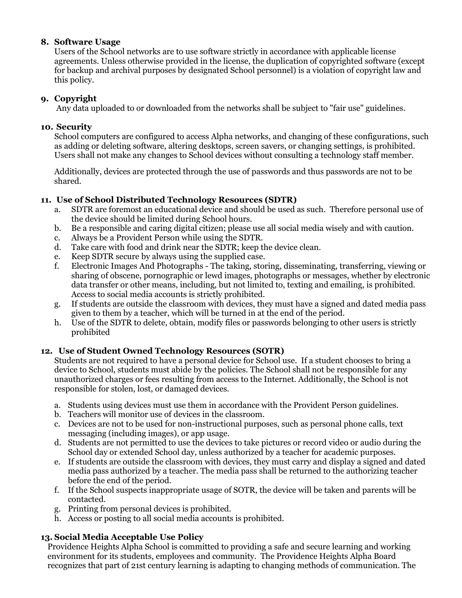# **8. Software Usage**

Users of the School networks are to use software strictly in accordance with applicable license agreements. Unless otherwise provided in the license, the duplication of copyrighted software (except for backup and archival purposes by designated School personnel) is a violation of copyright law and this policy.

#### **9. Copyright**

Any data uploaded to or downloaded from the networks shall be subject to "fair use" guidelines.

#### **10. Security**

School computers are configured to access Alpha networks, and changing of these configurations, such as adding or deleting software, altering desktops, screen savers, or changing settings, is prohibited. Users shall not make any changes to School devices without consulting a technology staff member.

Additionally, devices are protected through the use of passwords and thus passwords are not to be shared.

# **11. Use of School Distributed Technology Resources (SDTR)**

- a. SDTR are foremost an educational device and should be used as such. Therefore personal use of the device should be limited during School hours.
- b. Be a responsible and caring digital citizen; please use all social media wisely and with caution.
- c. Always be a Provident Person while using the SDTR.
- d. Take care with food and drink near the SDTR; keep the device clean.
- e. Keep SDTR secure by always using the supplied case.
- f. Electronic Images And Photographs The taking, storing, disseminating, transferring, viewing or sharing of obscene, pornographic or lewd images, photographs or messages, whether by electronic data transfer or other means, including, but not limited to, texting and emailing, is prohibited. Access to social media accounts is strictly prohibited.
- g. If students are outside the classroom with devices, they must have a signed and dated media pass given to them by a teacher, which will be turned in at the end of the period.
- h. Use of the SDTR to delete, obtain, modify files or passwords belonging to other users is strictly prohibited

# **12. Use of Student Owned Technology Resources (SOTR)**

Students are not required to have a personal device for School use. If a student chooses to bring a device to School, students must abide by the policies. The School shall not be responsible for any unauthorized charges or fees resulting from access to the Internet. Additionally, the School is not responsible for stolen, lost, or damaged devices.

- a. Students using devices must use them in accordance with the Provident Person guidelines.
- b. Teachers will monitor use of devices in the classroom.
- c. Devices are not to be used for non-instructional purposes, such as personal phone calls, text messaging (including images), or app usage.
- d. Students are not permitted to use the devices to take pictures or record video or audio during the School day or extended School day, unless authorized by a teacher for academic purposes.
- e. If students are outside the classroom with devices, they must carry and display a signed and dated media pass authorized by a teacher. The media pass shall be returned to the authorizing teacher before the end of the period.
- f. If the School suspects inappropriate usage of SOTR, the device will be taken and parents will be contacted.
- g. Printing from personal devices is prohibited.
- h. Access or posting to all social media accounts is prohibited.

# **13. Social Media Acceptable Use Policy**

Providence Heights Alpha School is committed to providing a safe and secure learning and working environment for its students, employees and community. The Providence Heights Alpha Board recognizes that part of 21st century learning is adapting to changing methods of communication. The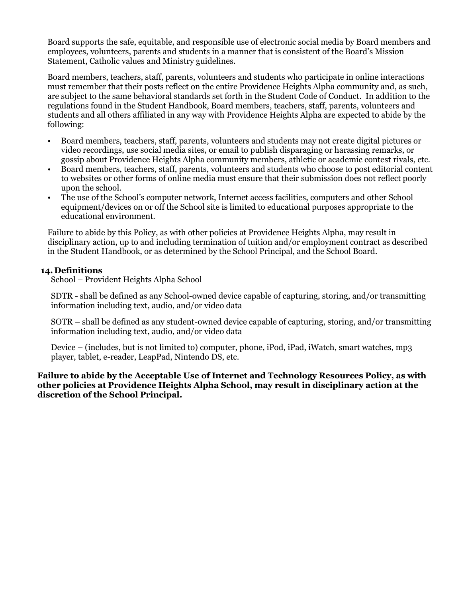Board supports the safe, equitable, and responsible use of electronic social media by Board members and employees, volunteers, parents and students in a manner that is consistent of the Board's Mission Statement, Catholic values and Ministry guidelines.

Board members, teachers, staff, parents, volunteers and students who participate in online interactions must remember that their posts reflect on the entire Providence Heights Alpha community and, as such, are subject to the same behavioral standards set forth in the Student Code of Conduct. In addition to the regulations found in the Student Handbook, Board members, teachers, staff, parents, volunteers and students and all others affiliated in any way with Providence Heights Alpha are expected to abide by the following:

- Board members, teachers, staff, parents, volunteers and students may not create digital pictures or video recordings, use social media sites, or email to publish disparaging or harassing remarks, or gossip about Providence Heights Alpha community members, athletic or academic contest rivals, etc.
- Board members, teachers, staff, parents, volunteers and students who choose to post editorial content to websites or other forms of online media must ensure that their submission does not reflect poorly upon the school.
- The use of the School's computer network, Internet access facilities, computers and other School equipment/devices on or off the School site is limited to educational purposes appropriate to the educational environment.

Failure to abide by this Policy, as with other policies at Providence Heights Alpha, may result in disciplinary action, up to and including termination of tuition and/or employment contract as described in the Student Handbook, or as determined by the School Principal, and the School Board.

#### **14. Definitions**

School – Provident Heights Alpha School

SDTR - shall be defined as any School-owned device capable of capturing, storing, and/or transmitting information including text, audio, and/or video data

SOTR – shall be defined as any student-owned device capable of capturing, storing, and/or transmitting information including text, audio, and/or video data

Device – (includes, but is not limited to) computer, phone, iPod, iPad, iWatch, smart watches, mp3 player, tablet, e-reader, LeapPad, Nintendo DS, etc.

**Failure to abide by the Acceptable Use of Internet and Technology Resources Policy, as with other policies at Providence Heights Alpha School, may result in disciplinary action at the discretion of the School Principal.**